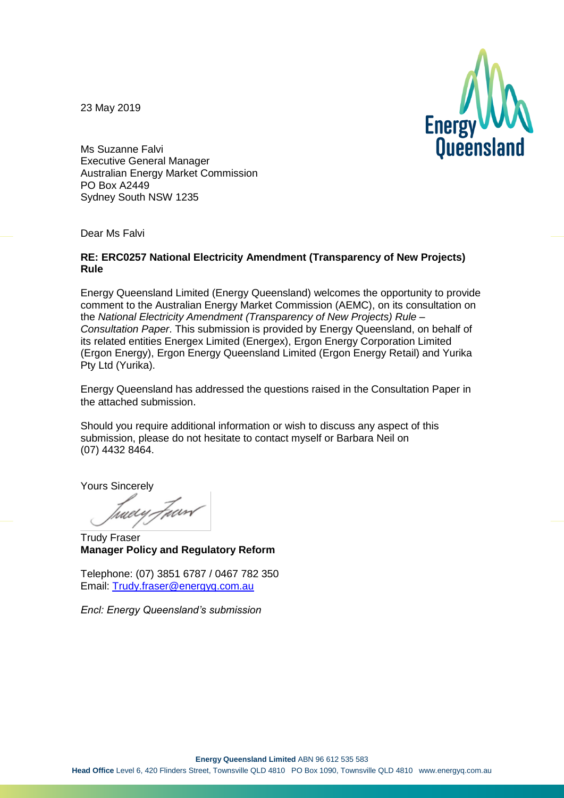23 May 2019



Ms Suzanne Falvi Executive General Manager Australian Energy Market Commission PO Box A2449 Sydney South NSW 1235

Dear Ms Falvi

#### **RE: ERC0257 National Electricity Amendment (Transparency of New Projects) Rule**

Energy Queensland Limited (Energy Queensland) welcomes the opportunity to provide comment to the Australian Energy Market Commission (AEMC), on its consultation on the *National Electricity Amendment (Transparency of New Projects) Rule – Consultation Paper*. This submission is provided by Energy Queensland, on behalf of its related entities Energex Limited (Energex), Ergon Energy Corporation Limited (Ergon Energy), Ergon Energy Queensland Limited (Ergon Energy Retail) and Yurika Pty Ltd (Yurika).

Energy Queensland has addressed the questions raised in the Consultation Paper in the attached submission.

Should you require additional information or wish to discuss any aspect of this submission, please do not hesitate to contact myself or Barbara Neil on (07) 4432 8464.

Yours Sincerely

tweey.Foard

Trudy Fraser **Manager Policy and Regulatory Reform**

Telephone: (07) 3851 6787 / 0467 782 350 Email: [Trudy.fraser@energyq.com.au](mailto:Trudy.fraser@energyq.com.au)

*Encl: Energy Queensland's submission*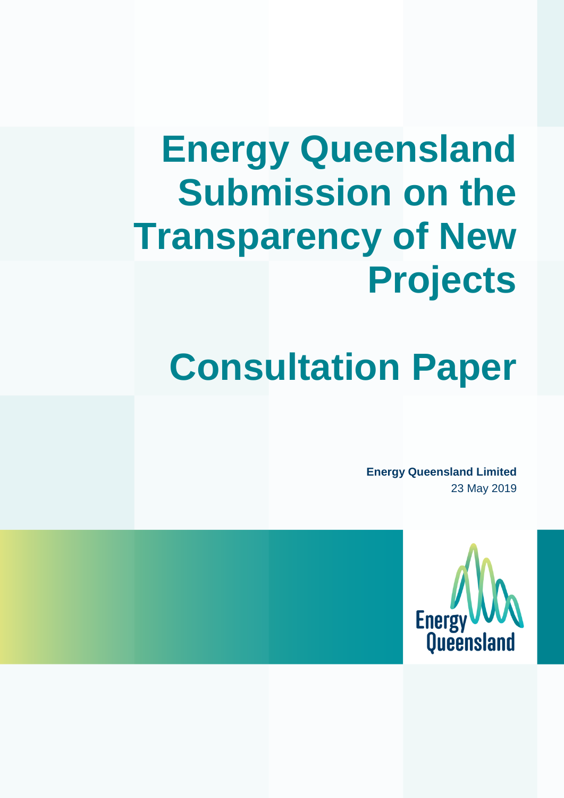# **Energy Queensland Submission on the Transparency of New Projects**

## **Consultation Paper**

**Energy Queensland Limited** 23 May 2019

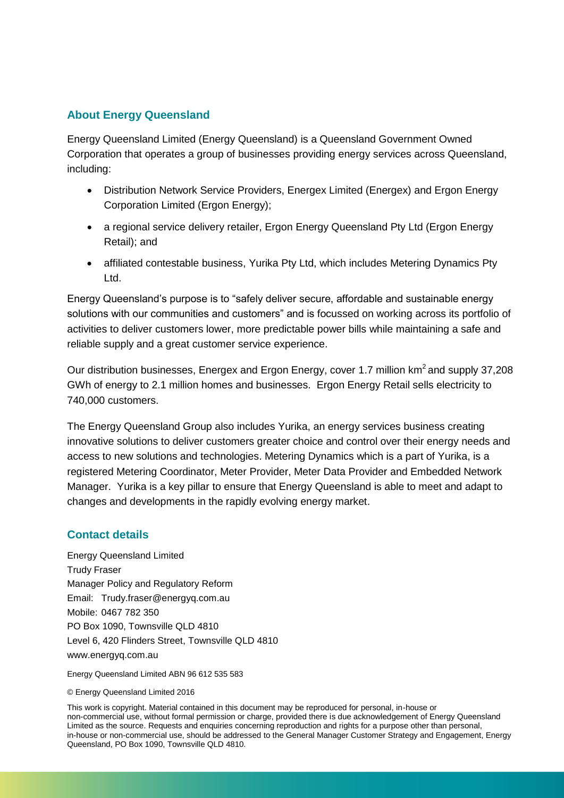### **About Energy Queensland**

Energy Queensland Limited (Energy Queensland) is a Queensland Government Owned Corporation that operates a group of businesses providing energy services across Queensland, including:

- Distribution Network Service Providers, Energex Limited (Energex) and Ergon Energy Corporation Limited (Ergon Energy);
- a regional service delivery retailer, Ergon Energy Queensland Pty Ltd (Ergon Energy Retail); and
- affiliated contestable business, Yurika Pty Ltd, which includes Metering Dynamics Pty Ltd.

Energy Queensland's purpose is to "safely deliver secure, affordable and sustainable energy solutions with our communities and customers" and is focussed on working across its portfolio of activities to deliver customers lower, more predictable power bills while maintaining a safe and reliable supply and a great customer service experience.

Our distribution businesses, Energex and Ergon Energy, cover 1.7 million km<sup>2</sup>and supply 37,208 GWh of energy to 2.1 million homes and businesses. Ergon Energy Retail sells electricity to 740,000 customers.

The Energy Queensland Group also includes Yurika, an energy services business creating innovative solutions to deliver customers greater choice and control over their energy needs and access to new solutions and technologies. Metering Dynamics which is a part of Yurika, is a registered Metering Coordinator, Meter Provider, Meter Data Provider and Embedded Network Manager. Yurika is a key pillar to ensure that Energy Queensland is able to meet and adapt to changes and developments in the rapidly evolving energy market.

#### **Contact details**

Energy Queensland Limited Trudy Fraser Manager Policy and Regulatory Reform Email: Trudy.fraser@energyq.com.au Mobile: 0467 782 350 PO Box 1090, Townsville QLD 4810 Level 6, 420 Flinders Street, Townsville QLD 4810 www.energyq.com.au

Energy Queensland Limited ABN 96 612 535 583

#### © Energy Queensland Limited 2016

This work is copyright. Material contained in this document may be reproduced for personal, in-house or non-commercial use, without formal permission or charge, provided there is due acknowledgement of Energy Queensland Limited as the source. Requests and enquiries concerning reproduction and rights for a purpose other than personal, in-house or non-commercial use, should be addressed to the General Manager Customer Strategy and Engagement, Energy Queensland, PO Box 1090, Townsville QLD 4810.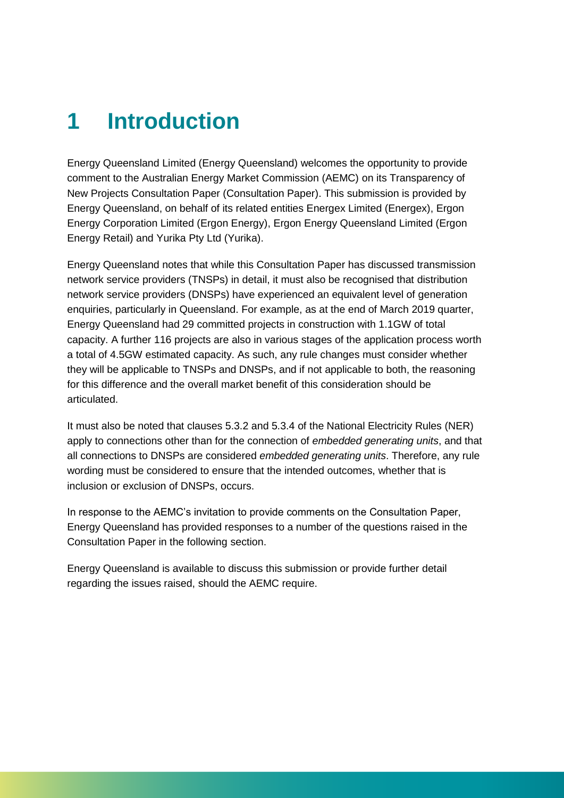## **1 Introduction**

Energy Queensland Limited (Energy Queensland) welcomes the opportunity to provide comment to the Australian Energy Market Commission (AEMC) on its Transparency of New Projects Consultation Paper (Consultation Paper). This submission is provided by Energy Queensland, on behalf of its related entities Energex Limited (Energex), Ergon Energy Corporation Limited (Ergon Energy), Ergon Energy Queensland Limited (Ergon Energy Retail) and Yurika Pty Ltd (Yurika).

Energy Queensland notes that while this Consultation Paper has discussed transmission network service providers (TNSPs) in detail, it must also be recognised that distribution network service providers (DNSPs) have experienced an equivalent level of generation enquiries, particularly in Queensland. For example, as at the end of March 2019 quarter, Energy Queensland had 29 committed projects in construction with 1.1GW of total capacity. A further 116 projects are also in various stages of the application process worth a total of 4.5GW estimated capacity. As such, any rule changes must consider whether they will be applicable to TNSPs and DNSPs, and if not applicable to both, the reasoning for this difference and the overall market benefit of this consideration should be articulated.

It must also be noted that clauses 5.3.2 and 5.3.4 of the National Electricity Rules (NER) apply to connections other than for the connection of *embedded generating units*, and that all connections to DNSPs are considered *embedded generating units*. Therefore, any rule wording must be considered to ensure that the intended outcomes, whether that is inclusion or exclusion of DNSPs, occurs.

In response to the AEMC's invitation to provide comments on the Consultation Paper, Energy Queensland has provided responses to a number of the questions raised in the Consultation Paper in the following section.

Energy Queensland is available to discuss this submission or provide further detail regarding the issues raised, should the AEMC require.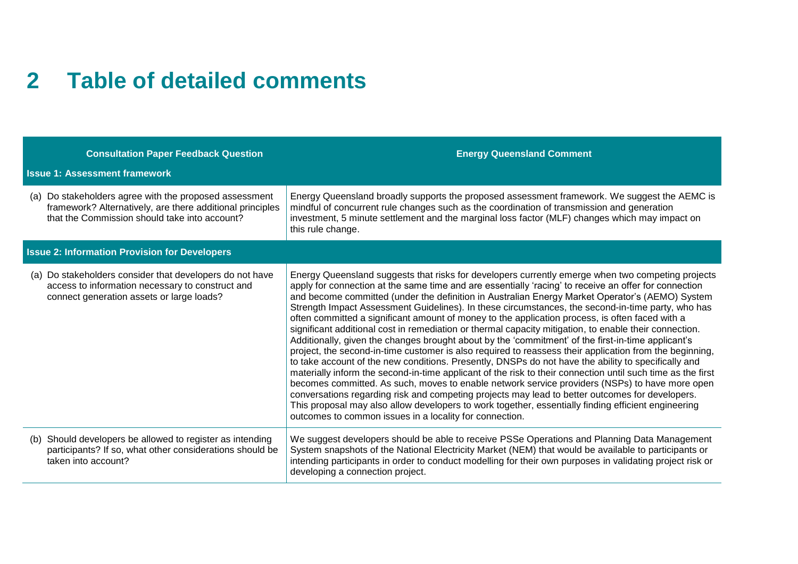### **2 Table of detailed comments**

| <b>Consultation Paper Feedback Question</b>                                                                                                                          | <b>Energy Queensland Comment</b>                                                                                                                                                                                                                                                                                                                                                                                                                                                                                                                                                                                                                                                                                                                                                                                                                                                                                                                                                                                                                                                                                                                                                                                                                                                                                                                                                                                                              |  |
|----------------------------------------------------------------------------------------------------------------------------------------------------------------------|-----------------------------------------------------------------------------------------------------------------------------------------------------------------------------------------------------------------------------------------------------------------------------------------------------------------------------------------------------------------------------------------------------------------------------------------------------------------------------------------------------------------------------------------------------------------------------------------------------------------------------------------------------------------------------------------------------------------------------------------------------------------------------------------------------------------------------------------------------------------------------------------------------------------------------------------------------------------------------------------------------------------------------------------------------------------------------------------------------------------------------------------------------------------------------------------------------------------------------------------------------------------------------------------------------------------------------------------------------------------------------------------------------------------------------------------------|--|
| <b>Issue 1: Assessment framework</b>                                                                                                                                 |                                                                                                                                                                                                                                                                                                                                                                                                                                                                                                                                                                                                                                                                                                                                                                                                                                                                                                                                                                                                                                                                                                                                                                                                                                                                                                                                                                                                                                               |  |
| (a) Do stakeholders agree with the proposed assessment<br>framework? Alternatively, are there additional principles<br>that the Commission should take into account? | Energy Queensland broadly supports the proposed assessment framework. We suggest the AEMC is<br>mindful of concurrent rule changes such as the coordination of transmission and generation<br>investment, 5 minute settlement and the marginal loss factor (MLF) changes which may impact on<br>this rule change.                                                                                                                                                                                                                                                                                                                                                                                                                                                                                                                                                                                                                                                                                                                                                                                                                                                                                                                                                                                                                                                                                                                             |  |
| <b>Issue 2: Information Provision for Developers</b>                                                                                                                 |                                                                                                                                                                                                                                                                                                                                                                                                                                                                                                                                                                                                                                                                                                                                                                                                                                                                                                                                                                                                                                                                                                                                                                                                                                                                                                                                                                                                                                               |  |
| Do stakeholders consider that developers do not have<br>(a)<br>access to information necessary to construct and<br>connect generation assets or large loads?         | Energy Queensland suggests that risks for developers currently emerge when two competing projects<br>apply for connection at the same time and are essentially 'racing' to receive an offer for connection<br>and become committed (under the definition in Australian Energy Market Operator's (AEMO) System<br>Strength Impact Assessment Guidelines). In these circumstances, the second-in-time party, who has<br>often committed a significant amount of money to the application process, is often faced with a<br>significant additional cost in remediation or thermal capacity mitigation, to enable their connection.<br>Additionally, given the changes brought about by the 'commitment' of the first-in-time applicant's<br>project, the second-in-time customer is also required to reassess their application from the beginning,<br>to take account of the new conditions. Presently, DNSPs do not have the ability to specifically and<br>materially inform the second-in-time applicant of the risk to their connection until such time as the first<br>becomes committed. As such, moves to enable network service providers (NSPs) to have more open<br>conversations regarding risk and competing projects may lead to better outcomes for developers.<br>This proposal may also allow developers to work together, essentially finding efficient engineering<br>outcomes to common issues in a locality for connection. |  |
| Should developers be allowed to register as intending<br>(b)<br>participants? If so, what other considerations should be<br>taken into account?                      | We suggest developers should be able to receive PSSe Operations and Planning Data Management<br>System snapshots of the National Electricity Market (NEM) that would be available to participants or<br>intending participants in order to conduct modelling for their own purposes in validating project risk or<br>developing a connection project.                                                                                                                                                                                                                                                                                                                                                                                                                                                                                                                                                                                                                                                                                                                                                                                                                                                                                                                                                                                                                                                                                         |  |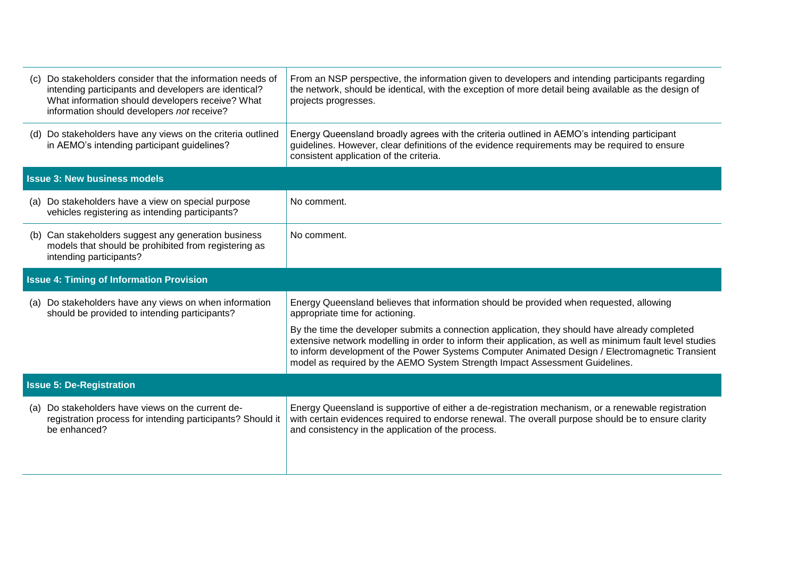| What information should developers receive? What<br>information should developers not receive?                                          | projects progresses.                                                                                                                                                                                                                                                                                                                                                                         |  |
|-----------------------------------------------------------------------------------------------------------------------------------------|----------------------------------------------------------------------------------------------------------------------------------------------------------------------------------------------------------------------------------------------------------------------------------------------------------------------------------------------------------------------------------------------|--|
| (d) Do stakeholders have any views on the criteria outlined<br>in AEMO's intending participant guidelines?                              | Energy Queensland broadly agrees with the criteria outlined in AEMO's intending participant<br>guidelines. However, clear definitions of the evidence requirements may be required to ensure<br>consistent application of the criteria.                                                                                                                                                      |  |
| <b>Issue 3: New business models</b>                                                                                                     |                                                                                                                                                                                                                                                                                                                                                                                              |  |
| (a) Do stakeholders have a view on special purpose<br>vehicles registering as intending participants?                                   | No comment.                                                                                                                                                                                                                                                                                                                                                                                  |  |
| (b) Can stakeholders suggest any generation business<br>models that should be prohibited from registering as<br>intending participants? | No comment.                                                                                                                                                                                                                                                                                                                                                                                  |  |
| <b>Issue 4: Timing of Information Provision</b>                                                                                         |                                                                                                                                                                                                                                                                                                                                                                                              |  |
| (a) Do stakeholders have any views on when information<br>should be provided to intending participants?                                 | Energy Queensland believes that information should be provided when requested, allowing<br>appropriate time for actioning.                                                                                                                                                                                                                                                                   |  |
|                                                                                                                                         | By the time the developer submits a connection application, they should have already completed<br>extensive network modelling in order to inform their application, as well as minimum fault level studies<br>to inform development of the Power Systems Computer Animated Design / Electromagnetic Transient<br>model as required by the AEMO System Strength Impact Assessment Guidelines. |  |
| <b>Issue 5: De-Registration</b>                                                                                                         |                                                                                                                                                                                                                                                                                                                                                                                              |  |
| (a) Do stakeholders have views on the current de-<br>registration process for intending participants? Should it<br>be enhanced?         | Energy Queensland is supportive of either a de-registration mechanism, or a renewable registration<br>with certain evidences required to endorse renewal. The overall purpose should be to ensure clarity<br>and consistency in the application of the process.                                                                                                                              |  |
|                                                                                                                                         |                                                                                                                                                                                                                                                                                                                                                                                              |  |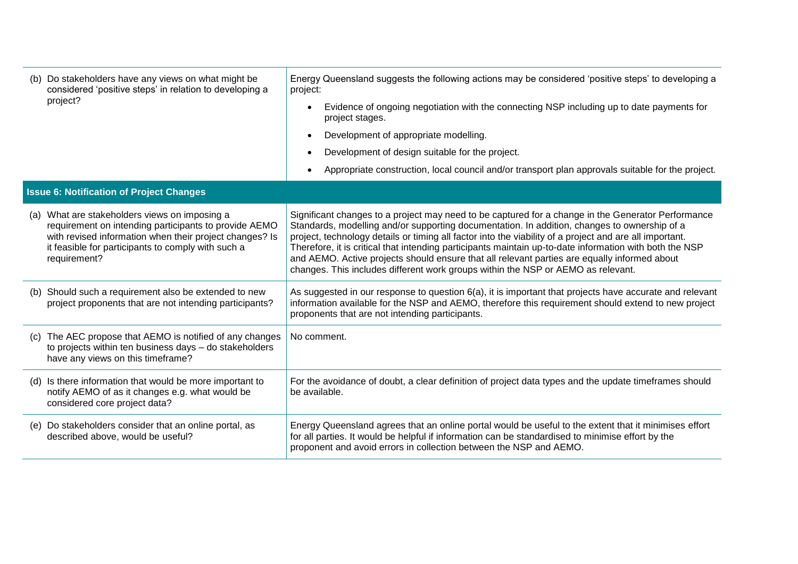| (b) Do stakeholders have any views on what might be<br>considered 'positive steps' in relation to developing a<br>project?                                                                                                              | Energy Queensland suggests the following actions may be considered 'positive steps' to developing a<br>project:                                                                                                                                                                                                                                                                                                                                                                                                                                                                                              |
|-----------------------------------------------------------------------------------------------------------------------------------------------------------------------------------------------------------------------------------------|--------------------------------------------------------------------------------------------------------------------------------------------------------------------------------------------------------------------------------------------------------------------------------------------------------------------------------------------------------------------------------------------------------------------------------------------------------------------------------------------------------------------------------------------------------------------------------------------------------------|
|                                                                                                                                                                                                                                         | Evidence of ongoing negotiation with the connecting NSP including up to date payments for<br>$\bullet$<br>project stages.                                                                                                                                                                                                                                                                                                                                                                                                                                                                                    |
|                                                                                                                                                                                                                                         | Development of appropriate modelling.<br>$\bullet$                                                                                                                                                                                                                                                                                                                                                                                                                                                                                                                                                           |
|                                                                                                                                                                                                                                         | Development of design suitable for the project.                                                                                                                                                                                                                                                                                                                                                                                                                                                                                                                                                              |
|                                                                                                                                                                                                                                         | Appropriate construction, local council and/or transport plan approvals suitable for the project.                                                                                                                                                                                                                                                                                                                                                                                                                                                                                                            |
| <b>Issue 6: Notification of Project Changes</b>                                                                                                                                                                                         |                                                                                                                                                                                                                                                                                                                                                                                                                                                                                                                                                                                                              |
| (a) What are stakeholders views on imposing a<br>requirement on intending participants to provide AEMO<br>with revised information when their project changes? Is<br>it feasible for participants to comply with such a<br>requirement? | Significant changes to a project may need to be captured for a change in the Generator Performance<br>Standards, modelling and/or supporting documentation. In addition, changes to ownership of a<br>project, technology details or timing all factor into the viability of a project and are all important.<br>Therefore, it is critical that intending participants maintain up-to-date information with both the NSP<br>and AEMO. Active projects should ensure that all relevant parties are equally informed about<br>changes. This includes different work groups within the NSP or AEMO as relevant. |
| (b) Should such a requirement also be extended to new<br>project proponents that are not intending participants?                                                                                                                        | As suggested in our response to question 6(a), it is important that projects have accurate and relevant<br>information available for the NSP and AEMO, therefore this requirement should extend to new project<br>proponents that are not intending participants.                                                                                                                                                                                                                                                                                                                                            |
| (c) The AEC propose that AEMO is notified of any changes<br>to projects within ten business days - do stakeholders<br>have any views on this timeframe?                                                                                 | No comment.                                                                                                                                                                                                                                                                                                                                                                                                                                                                                                                                                                                                  |
| (d) Is there information that would be more important to<br>notify AEMO of as it changes e.g. what would be<br>considered core project data?                                                                                            | For the avoidance of doubt, a clear definition of project data types and the update timeframes should<br>be available.                                                                                                                                                                                                                                                                                                                                                                                                                                                                                       |
| (e) Do stakeholders consider that an online portal, as<br>described above, would be useful?                                                                                                                                             | Energy Queensland agrees that an online portal would be useful to the extent that it minimises effort<br>for all parties. It would be helpful if information can be standardised to minimise effort by the<br>proponent and avoid errors in collection between the NSP and AEMO.                                                                                                                                                                                                                                                                                                                             |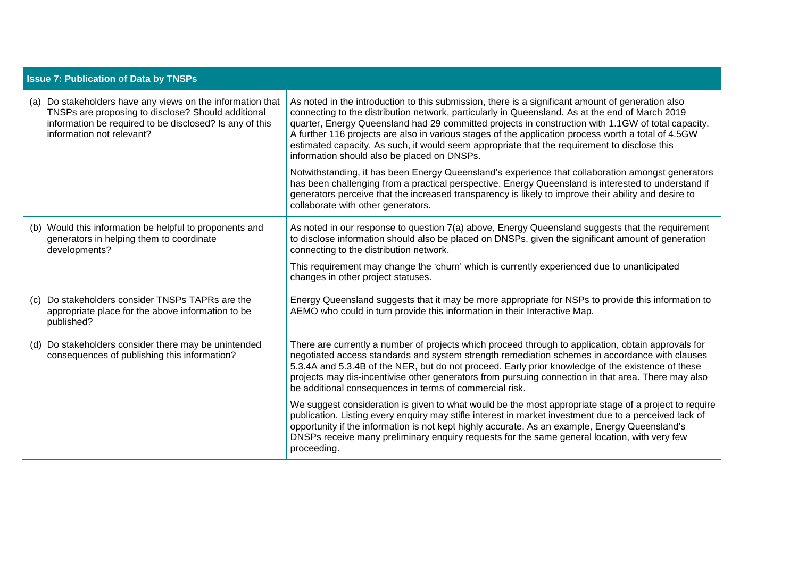| <b>Issue 7: Publication of Data by TNSPs</b> |                                                                                                                                                                                                          |                                                                                                                                                                                                                                                                                                                                                                                                                                                                                                                                                                  |
|----------------------------------------------|----------------------------------------------------------------------------------------------------------------------------------------------------------------------------------------------------------|------------------------------------------------------------------------------------------------------------------------------------------------------------------------------------------------------------------------------------------------------------------------------------------------------------------------------------------------------------------------------------------------------------------------------------------------------------------------------------------------------------------------------------------------------------------|
|                                              | (a) Do stakeholders have any views on the information that<br>TNSPs are proposing to disclose? Should additional<br>information be required to be disclosed? Is any of this<br>information not relevant? | As noted in the introduction to this submission, there is a significant amount of generation also<br>connecting to the distribution network, particularly in Queensland. As at the end of March 2019<br>quarter, Energy Queensland had 29 committed projects in construction with 1.1GW of total capacity.<br>A further 116 projects are also in various stages of the application process worth a total of 4.5GW<br>estimated capacity. As such, it would seem appropriate that the requirement to disclose this<br>information should also be placed on DNSPs. |
|                                              |                                                                                                                                                                                                          | Notwithstanding, it has been Energy Queensland's experience that collaboration amongst generators<br>has been challenging from a practical perspective. Energy Queensland is interested to understand if<br>generators perceive that the increased transparency is likely to improve their ability and desire to<br>collaborate with other generators.                                                                                                                                                                                                           |
|                                              | (b) Would this information be helpful to proponents and<br>generators in helping them to coordinate<br>developments?                                                                                     | As noted in our response to question 7(a) above, Energy Queensland suggests that the requirement<br>to disclose information should also be placed on DNSPs, given the significant amount of generation<br>connecting to the distribution network.                                                                                                                                                                                                                                                                                                                |
|                                              |                                                                                                                                                                                                          | This requirement may change the 'churn' which is currently experienced due to unanticipated<br>changes in other project statuses.                                                                                                                                                                                                                                                                                                                                                                                                                                |
|                                              | (c) Do stakeholders consider TNSPs TAPRs are the<br>appropriate place for the above information to be<br>published?                                                                                      | Energy Queensland suggests that it may be more appropriate for NSPs to provide this information to<br>AEMO who could in turn provide this information in their Interactive Map.                                                                                                                                                                                                                                                                                                                                                                                  |
|                                              | (d) Do stakeholders consider there may be unintended<br>consequences of publishing this information?                                                                                                     | There are currently a number of projects which proceed through to application, obtain approvals for<br>negotiated access standards and system strength remediation schemes in accordance with clauses<br>5.3.4A and 5.3.4B of the NER, but do not proceed. Early prior knowledge of the existence of these<br>projects may dis-incentivise other generators from pursuing connection in that area. There may also<br>be additional consequences in terms of commercial risk.                                                                                     |
|                                              |                                                                                                                                                                                                          | We suggest consideration is given to what would be the most appropriate stage of a project to require<br>publication. Listing every enquiry may stifle interest in market investment due to a perceived lack of<br>opportunity if the information is not kept highly accurate. As an example, Energy Queensland's<br>DNSPs receive many preliminary enquiry requests for the same general location, with very few<br>proceeding.                                                                                                                                 |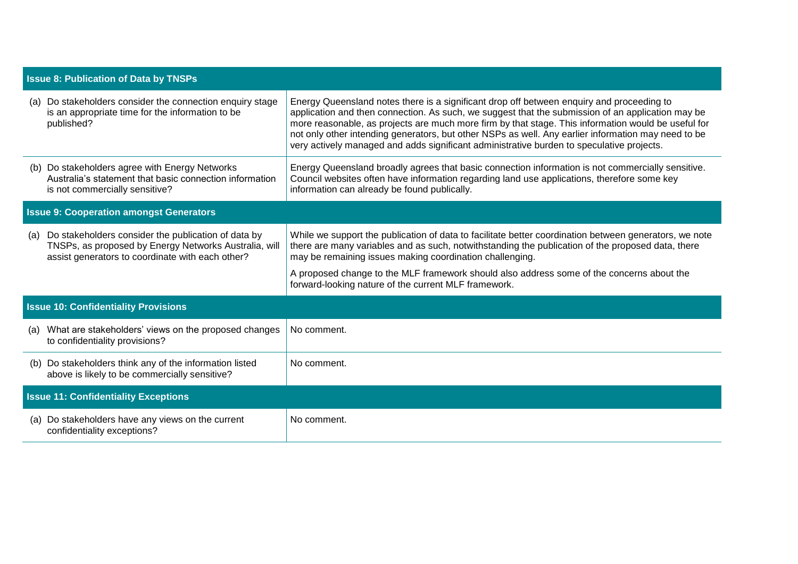| <b>Issue 8: Publication of Data by TNSPs</b>                                                                                                                            |                                                                                                                                                                                                                                                                                                                                                                                                                                                                                                           |  |  |
|-------------------------------------------------------------------------------------------------------------------------------------------------------------------------|-----------------------------------------------------------------------------------------------------------------------------------------------------------------------------------------------------------------------------------------------------------------------------------------------------------------------------------------------------------------------------------------------------------------------------------------------------------------------------------------------------------|--|--|
| Do stakeholders consider the connection enquiry stage<br>(a)<br>is an appropriate time for the information to be<br>published?                                          | Energy Queensland notes there is a significant drop off between enquiry and proceeding to<br>application and then connection. As such, we suggest that the submission of an application may be<br>more reasonable, as projects are much more firm by that stage. This information would be useful for<br>not only other intending generators, but other NSPs as well. Any earlier information may need to be<br>very actively managed and adds significant administrative burden to speculative projects. |  |  |
| (b) Do stakeholders agree with Energy Networks<br>Australia's statement that basic connection information<br>is not commercially sensitive?                             | Energy Queensland broadly agrees that basic connection information is not commercially sensitive.<br>Council websites often have information regarding land use applications, therefore some key<br>information can already be found publically.                                                                                                                                                                                                                                                          |  |  |
| <b>Issue 9: Cooperation amongst Generators</b>                                                                                                                          |                                                                                                                                                                                                                                                                                                                                                                                                                                                                                                           |  |  |
| Do stakeholders consider the publication of data by<br>(a)<br>TNSPs, as proposed by Energy Networks Australia, will<br>assist generators to coordinate with each other? | While we support the publication of data to facilitate better coordination between generators, we note<br>there are many variables and as such, notwithstanding the publication of the proposed data, there<br>may be remaining issues making coordination challenging.                                                                                                                                                                                                                                   |  |  |
|                                                                                                                                                                         | A proposed change to the MLF framework should also address some of the concerns about the<br>forward-looking nature of the current MLF framework.                                                                                                                                                                                                                                                                                                                                                         |  |  |
| <b>Issue 10: Confidentiality Provisions</b>                                                                                                                             |                                                                                                                                                                                                                                                                                                                                                                                                                                                                                                           |  |  |
| What are stakeholders' views on the proposed changes<br>(a)<br>to confidentiality provisions?                                                                           | No comment.                                                                                                                                                                                                                                                                                                                                                                                                                                                                                               |  |  |
| Do stakeholders think any of the information listed<br>(b)<br>above is likely to be commercially sensitive?                                                             | No comment.                                                                                                                                                                                                                                                                                                                                                                                                                                                                                               |  |  |
| <b>Issue 11: Confidentiality Exceptions</b>                                                                                                                             |                                                                                                                                                                                                                                                                                                                                                                                                                                                                                                           |  |  |
| Do stakeholders have any views on the current<br>(a)<br>confidentiality exceptions?                                                                                     | No comment.                                                                                                                                                                                                                                                                                                                                                                                                                                                                                               |  |  |